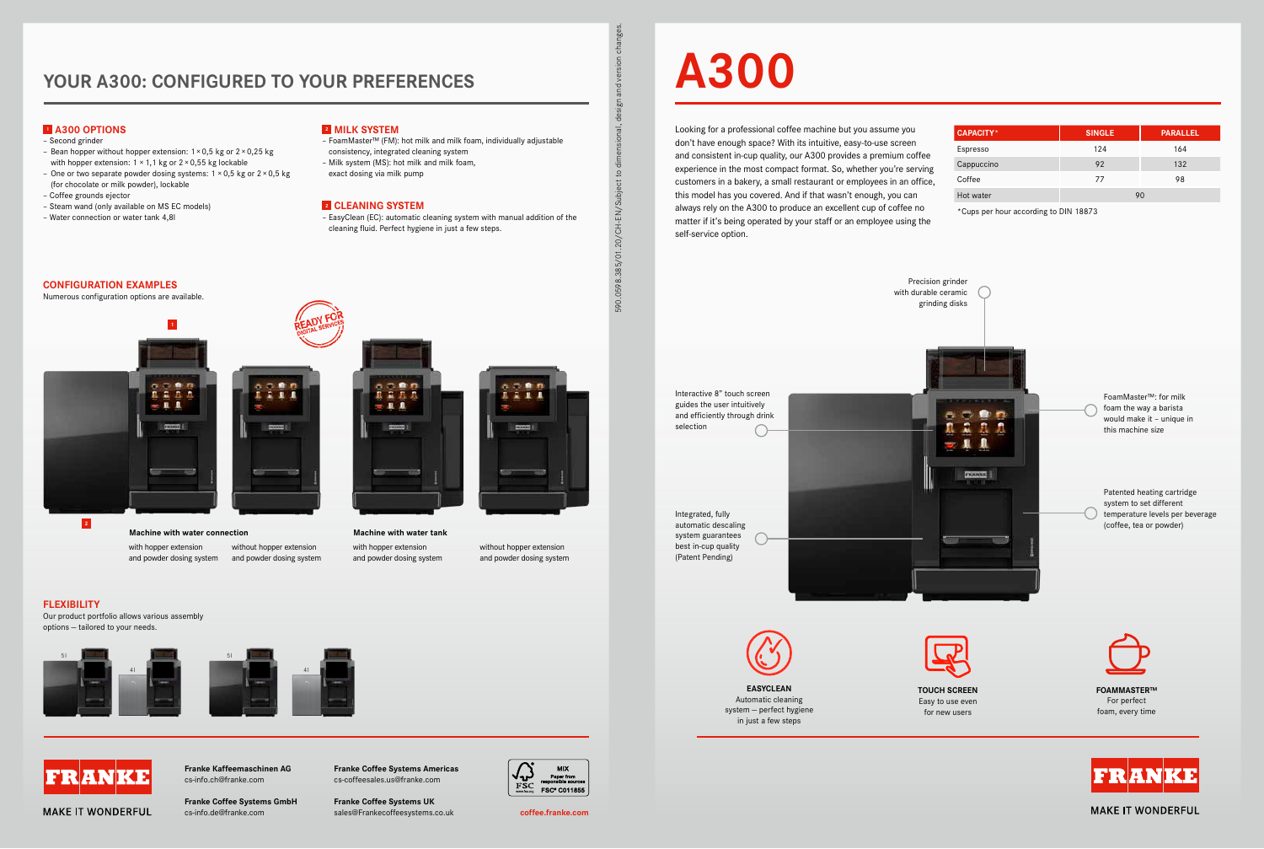## **YOUR A300: CONFIGURED TO YOUR PREFERENCES**

**Franke Coffee Systems Americas** cs-coffeesales.us@franke.com

**Franke Coffee Systems UK**



sales@Frankecoffeesystems.co.uk cs-info.de@franke.com **coffee.franke.com Franke Coffee Systems GmbH**

**Franke Kaffeemaschinen AG** cs-info.ch@franke.com



Looking for a professional coffee machine but you assume you don't have enough space? With its intuitive, easy-to-use screen and consistent in-cup quality, our A300 provides a premium coffee experience in the most compact format. So, whether you're serving customers in a bakery, a small restaurant or employees in an office, this model has you covered. And if that wasn't enough, you can always rely on the A300 to produce an excellent cup of coffee no matter if it's being operated by your staff or an employee using the self-service option.

Hot wa

**TOUCH SCREEN**  Easy to use even for new users

| <b>CAPACITY*</b> | <b>SINGLE</b> | <b>PARALLEL</b> |
|------------------|---------------|-----------------|
| Espresso         | 124           | 164             |
| Cappuccino       | 92            | 132             |
| Coffee           | 77            | 98              |
| Hot water        | 90            |                 |

\*Cups per hour according to DIN 18873

590.0598.385/01.20/CH-EN/Subject to dimensional, design and version changes.

590.0598.385/01.20/CH-EN/Subject to di

흓  $\overline{5}$ 

 $\overline{50}$ 

onal, desi

## **FLEXIBILITY**

**1** 

Our product portfolio allows various assembly options — tailored to your needs.



## **1 A300 OPTIONS**

- Second grinder
- Bean hopper without hopper extension:  $1 \times 0.5$  kg or  $2 \times 0.25$  kg with hopper extension:  $1 \times 1$ , 1 kg or  $2 \times 0.55$  kg lockable
- One or two separate powder dosing systems:  $1 \times 0.5$  kg or  $2 \times 0.5$  kg (for chocolate or milk powder), lockable
- Coffee grounds ejector
- Steam wand (only available on MS EC models)
- Water connection or water tank 4,8l
- FoamMaster™ (FM): hot milk and milk foam, individually adjustable consistency, integrated cleaning system
- Milk system (MS): hot milk and milk foam,
- exact dosing via milk pump

### **2 CLEANING SYSTEM**

– EasyClean (EC): automatic cleaning system with manual addition of the cleaning fluid. Perfect hygiene in just a few steps.







Precision grinder









**MAKE IT WONDERFUL** 

with hopper extension and powder dosing system and powder dosing system without hopper extension



with hopper extension and powder dosing system without hopper extension

and powder dosing system

**CONFIGURATION EXAMPLES** Numerous configuration options are available.

## **2 MILK SYSTEM**



Integrated, fully automatic descaling system guarantees best in-cup quality (Patent Pending)

> **FOAMMASTER™**  For perfect foam, every time



**MAKE IT WONDERFUL**